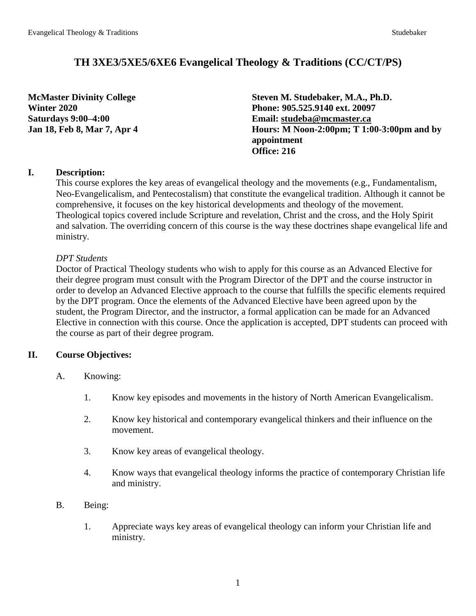# **TH 3XE3/5XE5/6XE6 Evangelical Theology & Traditions (CC/CT/PS)**

**McMaster Divinity College Steven M. Studebaker, M.A., Ph.D. Winter 2020 Phone: 905.525.9140 ext. 20097 Saturdays 9:00–4:00 Email: [studeba@mcmaster.ca](mailto:studeba@mcmaster.ca) Jan 18, Feb 8, Mar 7, Apr 4 Hours: M Noon-2:00pm; T 1:00-3:00pm and by appointment Office: 216**

## **I. Description:**

This course explores the key areas of evangelical theology and the movements (e.g., Fundamentalism, Neo-Evangelicalism, and Pentecostalism) that constitute the evangelical tradition. Although it cannot be comprehensive, it focuses on the key historical developments and theology of the movement. Theological topics covered include Scripture and revelation, Christ and the cross, and the Holy Spirit and salvation. The overriding concern of this course is the way these doctrines shape evangelical life and ministry.

### *DPT Students*

Doctor of Practical Theology students who wish to apply for this course as an Advanced Elective for their degree program must consult with the Program Director of the DPT and the course instructor in order to develop an Advanced Elective approach to the course that fulfills the specific elements required by the DPT program. Once the elements of the Advanced Elective have been agreed upon by the student, the Program Director, and the instructor, a formal application can be made for an Advanced Elective in connection with this course. Once the application is accepted, DPT students can proceed with the course as part of their degree program.

## **II. Course Objectives:**

- A. Knowing:
	- 1. Know key episodes and movements in the history of North American Evangelicalism.
	- 2. Know key historical and contemporary evangelical thinkers and their influence on the movement.
	- 3. Know key areas of evangelical theology.
	- 4. Know ways that evangelical theology informs the practice of contemporary Christian life and ministry.
- B. Being:
	- 1. Appreciate ways key areas of evangelical theology can inform your Christian life and ministry.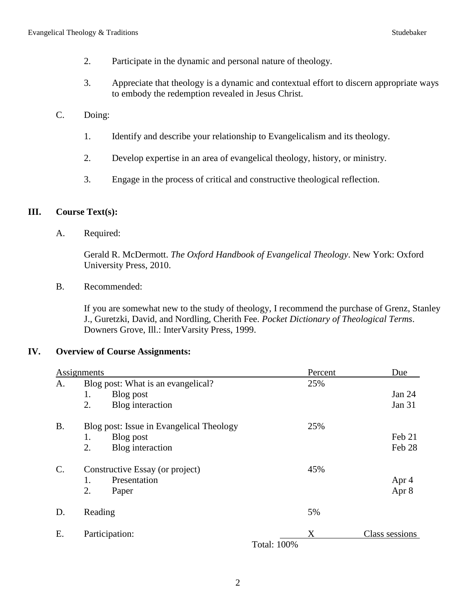- 2. Participate in the dynamic and personal nature of theology.
- 3. Appreciate that theology is a dynamic and contextual effort to discern appropriate ways to embody the redemption revealed in Jesus Christ.
- C. Doing:
	- 1. Identify and describe your relationship to Evangelicalism and its theology.
	- 2. Develop expertise in an area of evangelical theology, history, or ministry.
	- 3. Engage in the process of critical and constructive theological reflection.

### **III. Course Text(s):**

A. Required:

Gerald R. McDermott. *The Oxford Handbook of Evangelical Theology*. New York: Oxford University Press, 2010.

B. Recommended:

If you are somewhat new to the study of theology, I recommend the purchase of Grenz, Stanley J., Guretzki, David, and Nordling, Cherith Fee. *Pocket Dictionary of Theological Terms*. Downers Grove, Ill.: InterVarsity Press, 1999.

#### **IV. Overview of Course Assignments:**

|                 | Assignments                              |                    | Percent | Due            |
|-----------------|------------------------------------------|--------------------|---------|----------------|
| A.              | Blog post: What is an evangelical?       |                    |         |                |
|                 | 1.<br>Blog post                          |                    |         | Jan 24         |
|                 | 2.<br>Blog interaction                   |                    |         | Jan 31         |
| <b>B.</b>       | Blog post: Issue in Evangelical Theology |                    | 25%     |                |
|                 | Blog post<br>1.                          |                    |         | Feb 21         |
|                 | 2.<br>Blog interaction                   |                    |         | Feb 28         |
| $\mathcal{C}$ . | Constructive Essay (or project)          |                    | 45%     |                |
|                 | 1.<br>Presentation                       |                    |         | Apr 4          |
|                 | 2.<br>Paper                              |                    |         | Apr 8          |
| D.              | Reading                                  |                    | 5%      |                |
| Е.              | Participation:                           |                    | X       | Class sessions |
|                 |                                          | <b>Total: 100%</b> |         |                |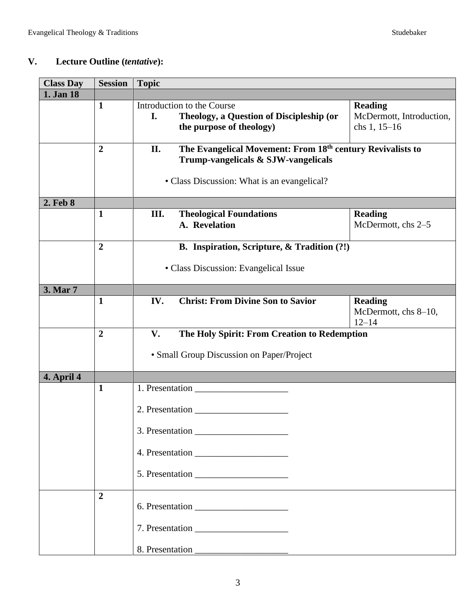# **V. Lecture Outline (***tentative***):**

| <b>Class Day</b> | <b>Session</b>                 | <b>Topic</b>                                                                                                                                            |                                                            |  |
|------------------|--------------------------------|---------------------------------------------------------------------------------------------------------------------------------------------------------|------------------------------------------------------------|--|
| 1. Jan 18        |                                |                                                                                                                                                         |                                                            |  |
|                  | $\mathbf{1}$                   | Introduction to the Course<br>I.<br>Theology, a Question of Discipleship (or<br>the purpose of theology)                                                | <b>Reading</b><br>McDermott, Introduction,<br>chs 1, 15-16 |  |
|                  | $\overline{2}$                 | The Evangelical Movement: From 18th century Revivalists to<br>II.<br>Trump-vangelicals & SJW-vangelicals<br>• Class Discussion: What is an evangelical? |                                                            |  |
| 2. Feb 8         |                                |                                                                                                                                                         |                                                            |  |
|                  | $\mathbf{1}$                   | III.<br><b>Theological Foundations</b><br>A. Revelation                                                                                                 | <b>Reading</b><br>McDermott, chs 2-5                       |  |
|                  | $\overline{2}$                 | B. Inspiration, Scripture, & Tradition (?!)                                                                                                             |                                                            |  |
|                  |                                | • Class Discussion: Evangelical Issue                                                                                                                   |                                                            |  |
| 3. Mar 7         |                                |                                                                                                                                                         |                                                            |  |
|                  | $\mathbf{1}$                   | IV.<br><b>Christ: From Divine Son to Savior</b>                                                                                                         | <b>Reading</b><br>McDermott, chs 8-10,<br>$12 - 14$        |  |
|                  | $\overline{2}$                 | $V_{\bullet}$<br>The Holy Spirit: From Creation to Redemption<br>• Small Group Discussion on Paper/Project                                              |                                                            |  |
| 4. April 4       |                                |                                                                                                                                                         |                                                            |  |
|                  | $\mathbf{1}$<br>$\overline{2}$ | 2. Presentation<br>3. Presentation                                                                                                                      |                                                            |  |
|                  |                                |                                                                                                                                                         |                                                            |  |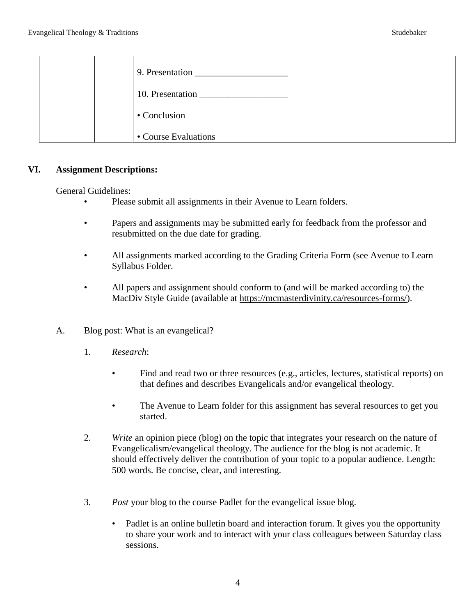|  | 9. Presentation      |
|--|----------------------|
|  | 10. Presentation     |
|  | • Conclusion         |
|  | • Course Evaluations |

#### **VI. Assignment Descriptions:**

General Guidelines:

- Please submit all assignments in their Avenue to Learn folders.
- Papers and assignments may be submitted early for feedback from the professor and resubmitted on the due date for grading.
- All assignments marked according to the Grading Criteria Form (see Avenue to Learn Syllabus Folder.
- All papers and assignment should conform to (and will be marked according to) the MacDiv Style Guide (available at [https://mcmasterdivinity.ca/resources-forms/\)](https://mcmasterdivinity.ca/resources-forms/).
- A. Blog post: What is an evangelical?
	- 1. *Research*:
		- Find and read two or three resources (e.g., articles, lectures, statistical reports) on that defines and describes Evangelicals and/or evangelical theology.
		- The Avenue to Learn folder for this assignment has several resources to get you started.
	- 2. *Write* an opinion piece (blog) on the topic that integrates your research on the nature of Evangelicalism/evangelical theology. The audience for the blog is not academic. It should effectively deliver the contribution of your topic to a popular audience. Length: 500 words. Be concise, clear, and interesting.
	- 3. *Post* your blog to the course Padlet for the evangelical issue blog.
		- Padlet is an online bulletin board and interaction forum. It gives you the opportunity to share your work and to interact with your class colleagues between Saturday class sessions.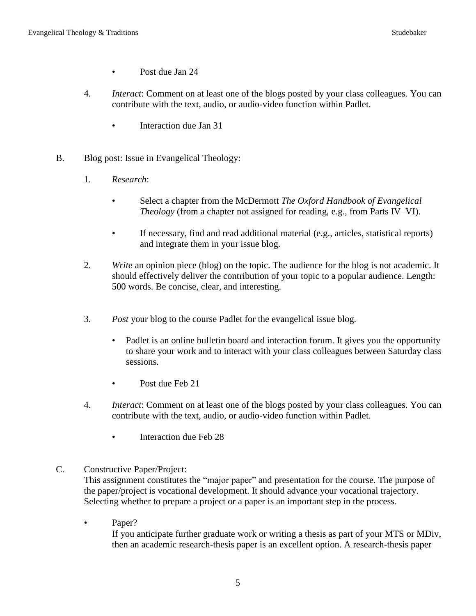- Post due Jan 24
- 4. *Interact*: Comment on at least one of the blogs posted by your class colleagues. You can contribute with the text, audio, or audio-video function within Padlet.
	- Interaction due Jan 31
- B. Blog post: Issue in Evangelical Theology:
	- 1. *Research*:
		- Select a chapter from the McDermott *The Oxford Handbook of Evangelical Theology* (from a chapter not assigned for reading, e.g., from Parts IV–VI).
		- If necessary, find and read additional material (e.g., articles, statistical reports) and integrate them in your issue blog.
	- 2. *Write* an opinion piece (blog) on the topic. The audience for the blog is not academic. It should effectively deliver the contribution of your topic to a popular audience. Length: 500 words. Be concise, clear, and interesting.
	- 3. *Post* your blog to the course Padlet for the evangelical issue blog.
		- Padlet is an online bulletin board and interaction forum. It gives you the opportunity to share your work and to interact with your class colleagues between Saturday class sessions.
		- Post due Feb 21
	- 4. *Interact*: Comment on at least one of the blogs posted by your class colleagues. You can contribute with the text, audio, or audio-video function within Padlet.
		- Interaction due Feb 28
- C. Constructive Paper/Project:

This assignment constitutes the "major paper" and presentation for the course. The purpose of the paper/project is vocational development. It should advance your vocational trajectory. Selecting whether to prepare a project or a paper is an important step in the process.

• Paper?

If you anticipate further graduate work or writing a thesis as part of your MTS or MDiv, then an academic research-thesis paper is an excellent option. A research-thesis paper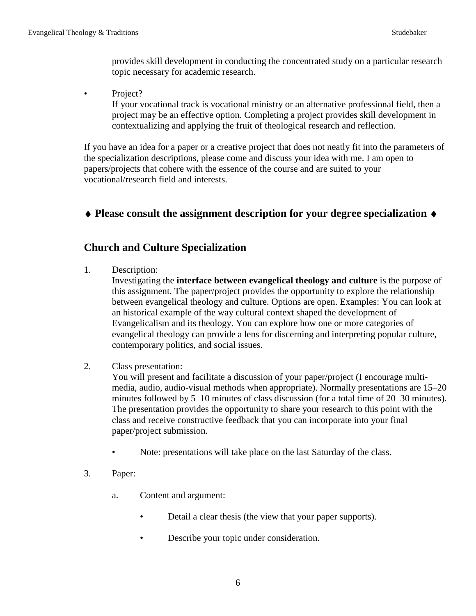provides skill development in conducting the concentrated study on a particular research topic necessary for academic research.

• Project?

If your vocational track is vocational ministry or an alternative professional field, then a project may be an effective option. Completing a project provides skill development in contextualizing and applying the fruit of theological research and reflection.

If you have an idea for a paper or a creative project that does not neatly fit into the parameters of the specialization descriptions, please come and discuss your idea with me. I am open to papers/projects that cohere with the essence of the course and are suited to your vocational/research field and interests.

# **Please consult the assignment description for your degree specialization**

# **Church and Culture Specialization**

1. Description:

Investigating the **interface between evangelical theology and culture** is the purpose of this assignment. The paper/project provides the opportunity to explore the relationship between evangelical theology and culture. Options are open. Examples: You can look at an historical example of the way cultural context shaped the development of Evangelicalism and its theology. You can explore how one or more categories of evangelical theology can provide a lens for discerning and interpreting popular culture, contemporary politics, and social issues.

2. Class presentation:

You will present and facilitate a discussion of your paper/project (I encourage multimedia, audio, audio-visual methods when appropriate). Normally presentations are 15–20 minutes followed by 5–10 minutes of class discussion (for a total time of 20–30 minutes). The presentation provides the opportunity to share your research to this point with the class and receive constructive feedback that you can incorporate into your final paper/project submission.

- Note: presentations will take place on the last Saturday of the class.
- 3. Paper:
	- a. Content and argument:
		- Detail a clear thesis (the view that your paper supports).
		- Describe your topic under consideration.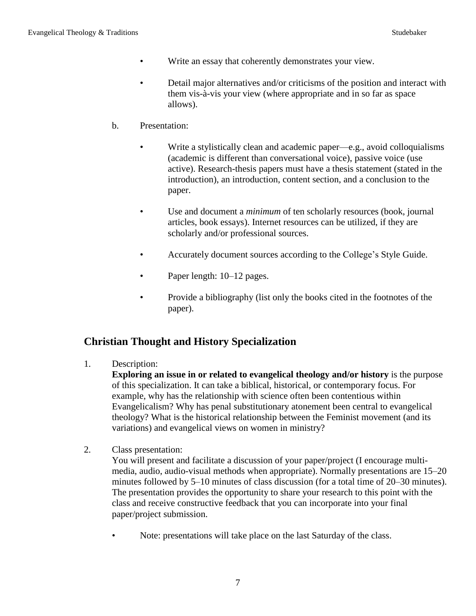- Write an essay that coherently demonstrates your view.
- Detail major alternatives and/or criticisms of the position and interact with them vis-à-vis your view (where appropriate and in so far as space allows).
- b. Presentation:
	- Write a stylistically clean and academic paper—e.g., avoid colloquialisms (academic is different than conversational voice), passive voice (use active). Research-thesis papers must have a thesis statement (stated in the introduction), an introduction, content section, and a conclusion to the paper.
	- Use and document a *minimum* of ten scholarly resources (book, journal articles, book essays). Internet resources can be utilized, if they are scholarly and/or professional sources.
	- Accurately document sources according to the College's Style Guide.
	- Paper length: 10–12 pages.
	- Provide a bibliography (list only the books cited in the footnotes of the paper).

# **Christian Thought and History Specialization**

1. Description:

**Exploring an issue in or related to evangelical theology and/or history** is the purpose of this specialization. It can take a biblical, historical, or contemporary focus. For example, why has the relationship with science often been contentious within Evangelicalism? Why has penal substitutionary atonement been central to evangelical theology? What is the historical relationship between the Feminist movement (and its variations) and evangelical views on women in ministry?

2. Class presentation:

You will present and facilitate a discussion of your paper/project (I encourage multimedia, audio, audio-visual methods when appropriate). Normally presentations are 15–20 minutes followed by 5–10 minutes of class discussion (for a total time of 20–30 minutes). The presentation provides the opportunity to share your research to this point with the class and receive constructive feedback that you can incorporate into your final paper/project submission.

Note: presentations will take place on the last Saturday of the class.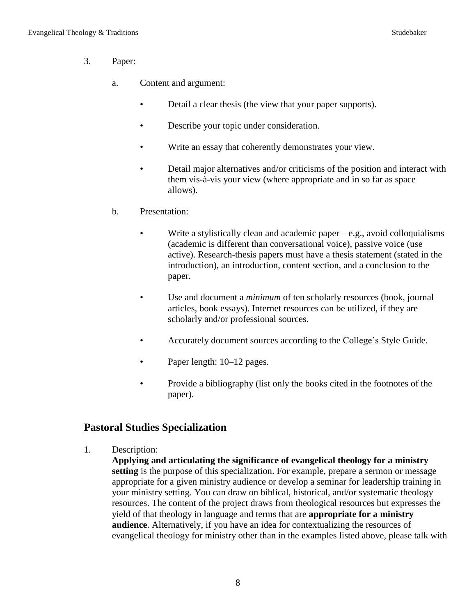- 3. Paper:
	- a. Content and argument:
		- Detail a clear thesis (the view that your paper supports).
		- Describe your topic under consideration.
		- Write an essay that coherently demonstrates your view.
		- Detail major alternatives and/or criticisms of the position and interact with them vis-à-vis your view (where appropriate and in so far as space allows).
	- b. Presentation:
		- Write a stylistically clean and academic paper—e.g., avoid colloquialisms (academic is different than conversational voice), passive voice (use active). Research-thesis papers must have a thesis statement (stated in the introduction), an introduction, content section, and a conclusion to the paper.
		- Use and document a *minimum* of ten scholarly resources (book, journal articles, book essays). Internet resources can be utilized, if they are scholarly and/or professional sources.
		- Accurately document sources according to the College's Style Guide.
		- Paper length: 10–12 pages.
		- Provide a bibliography (list only the books cited in the footnotes of the paper).

# **Pastoral Studies Specialization**

- 1. Description:
	- **Applying and articulating the significance of evangelical theology for a ministry setting** is the purpose of this specialization. For example, prepare a sermon or message appropriate for a given ministry audience or develop a seminar for leadership training in your ministry setting. You can draw on biblical, historical, and/or systematic theology resources. The content of the project draws from theological resources but expresses the yield of that theology in language and terms that are **appropriate for a ministry audience**. Alternatively, if you have an idea for contextualizing the resources of evangelical theology for ministry other than in the examples listed above, please talk with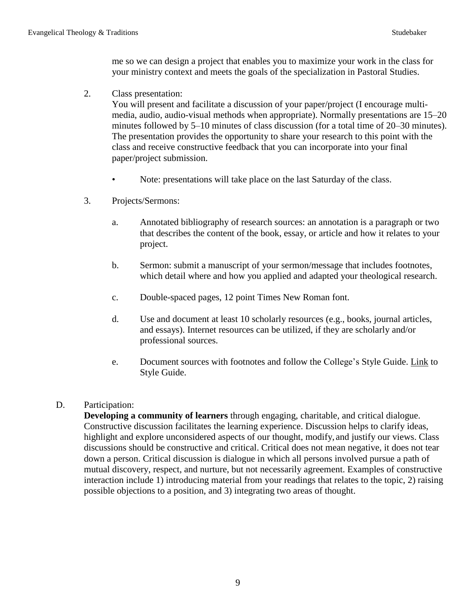me so we can design a project that enables you to maximize your work in the class for your ministry context and meets the goals of the specialization in Pastoral Studies.

2. Class presentation:

You will present and facilitate a discussion of your paper/project (I encourage multimedia, audio, audio-visual methods when appropriate). Normally presentations are 15–20 minutes followed by 5–10 minutes of class discussion (for a total time of 20–30 minutes). The presentation provides the opportunity to share your research to this point with the class and receive constructive feedback that you can incorporate into your final paper/project submission.

- Note: presentations will take place on the last Saturday of the class.
- 3. Projects/Sermons:
	- a. Annotated bibliography of research sources: an annotation is a paragraph or two that describes the content of the book, essay, or article and how it relates to your project.
	- b. Sermon: submit a manuscript of your sermon/message that includes footnotes, which detail where and how you applied and adapted your theological research.
	- c. Double-spaced pages, 12 point Times New Roman font.
	- d. Use and document at least 10 scholarly resources (e.g., books, journal articles, and essays). Internet resources can be utilized, if they are scholarly and/or professional sources.
	- e. Document sources with footnotes and follow the College's Style Guide. [Link](https://www.mcmasterdivinity.ca/sites/default/files/documents/mdcstyleguide.pdf) to Style Guide.

## D. Participation:

**Developing a community of learners** through engaging, charitable, and critical dialogue. Constructive discussion facilitates the learning experience. Discussion helps to clarify ideas, highlight and explore unconsidered aspects of our thought, modify, and justify our views. Class discussions should be constructive and critical. Critical does not mean negative, it does not tear down a person. Critical discussion is dialogue in which all persons involved pursue a path of mutual discovery, respect, and nurture, but not necessarily agreement. Examples of constructive interaction include 1) introducing material from your readings that relates to the topic, 2) raising possible objections to a position, and 3) integrating two areas of thought.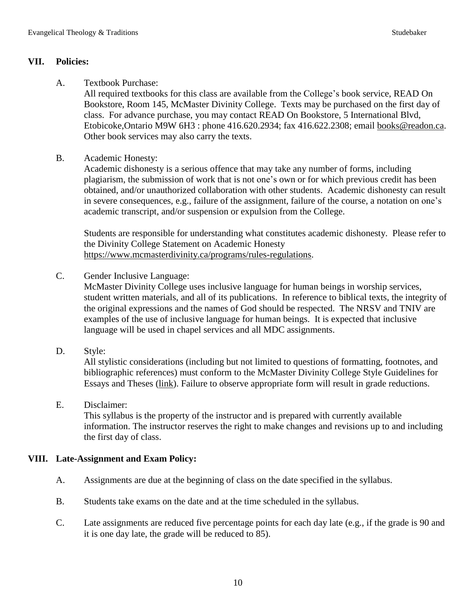# **VII. Policies:**

A. Textbook Purchase:

All required textbooks for this class are available from the College's book service, READ On Bookstore, Room 145, McMaster Divinity College. Texts may be purchased on the first day of class. For advance purchase, you may contact READ On Bookstore, 5 International Blvd, Etobicoke,Ontario M9W 6H3 : phone 416.620.2934; fax 416.622.2308; email [books@readon.ca.](mailto:books@readon.ca) Other book services may also carry the texts.

B. Academic Honesty:

Academic dishonesty is a serious offence that may take any number of forms, including plagiarism, the submission of work that is not one's own or for which previous credit has been obtained, and/or unauthorized collaboration with other students. Academic dishonesty can result in severe consequences, e.g., failure of the assignment, failure of the course, a notation on one's academic transcript, and/or suspension or expulsion from the College.

Students are responsible for understanding what constitutes academic dishonesty. Please refer to the Divinity College Statement on Academic Honesty [https://www.mcmasterdivinity.ca/programs/rules-regulations.](https://www.mcmasterdivinity.ca/programs/rules-regulations)

C. Gender Inclusive Language:

McMaster Divinity College uses inclusive language for human beings in worship services, student written materials, and all of its publications. In reference to biblical texts, the integrity of the original expressions and the names of God should be respected. The NRSV and TNIV are examples of the use of inclusive language for human beings. It is expected that inclusive language will be used in chapel services and all MDC assignments.

D. Style:

All stylistic considerations (including but not limited to questions of formatting, footnotes, and bibliographic references) must conform to the McMaster Divinity College Style Guidelines for Essays and Theses [\(link\)](https://www.mcmasterdivinity.ca/sites/default/files/documents/mdcstyleguide.pdf). Failure to observe appropriate form will result in grade reductions.

E. Disclaimer:

This syllabus is the property of the instructor and is prepared with currently available information. The instructor reserves the right to make changes and revisions up to and including the first day of class.

# **VIII. Late-Assignment and Exam Policy:**

- A. Assignments are due at the beginning of class on the date specified in the syllabus.
- B. Students take exams on the date and at the time scheduled in the syllabus.
- C. Late assignments are reduced five percentage points for each day late (e.g., if the grade is 90 and it is one day late, the grade will be reduced to 85).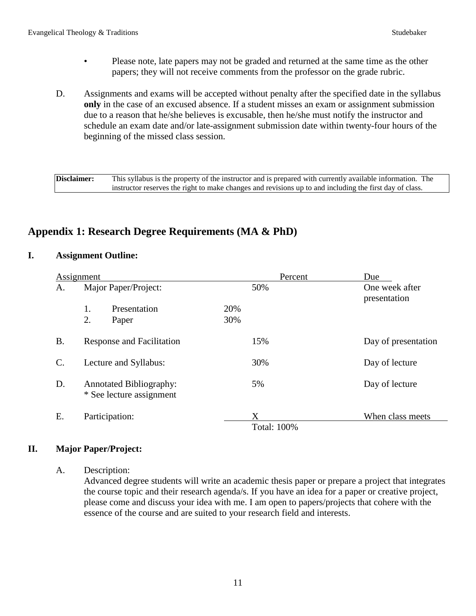- Please note, late papers may not be graded and returned at the same time as the other papers; they will not receive comments from the professor on the grade rubric.
- D. Assignments and exams will be accepted without penalty after the specified date in the syllabus **only** in the case of an excused absence. If a student misses an exam or assignment submission due to a reason that he/she believes is excusable, then he/she must notify the instructor and schedule an exam date and/or late-assignment submission date within twenty-four hours of the beginning of the missed class session.

**Disclaimer:** This syllabus is the property of the instructor and is prepared with currently available information. The instructor reserves the right to make changes and revisions up to and including the first day of class.

# **Appendix 1: Research Degree Requirements (MA & PhD)**

### **I. Assignment Outline:**

|           | Assignment                                                 | Percent                 | Due                            |
|-----------|------------------------------------------------------------|-------------------------|--------------------------------|
| А.        | Major Paper/Project:                                       | 50%                     | One week after<br>presentation |
|           | 1.<br>Presentation                                         | 20%                     |                                |
|           | 2.<br>Paper                                                | 30%                     |                                |
| <b>B.</b> | Response and Facilitation                                  | 15%                     | Day of presentation            |
| C.        | Lecture and Syllabus:                                      | 30%                     | Day of lecture                 |
| D.        | <b>Annotated Bibliography:</b><br>* See lecture assignment | 5%                      | Day of lecture                 |
| Ε.        | Participation:                                             | X<br><b>Total: 100%</b> | When class meets               |

## **II. Major Paper/Project:**

#### A. Description:

Advanced degree students will write an academic thesis paper or prepare a project that integrates the course topic and their research agenda/s. If you have an idea for a paper or creative project, please come and discuss your idea with me. I am open to papers/projects that cohere with the essence of the course and are suited to your research field and interests.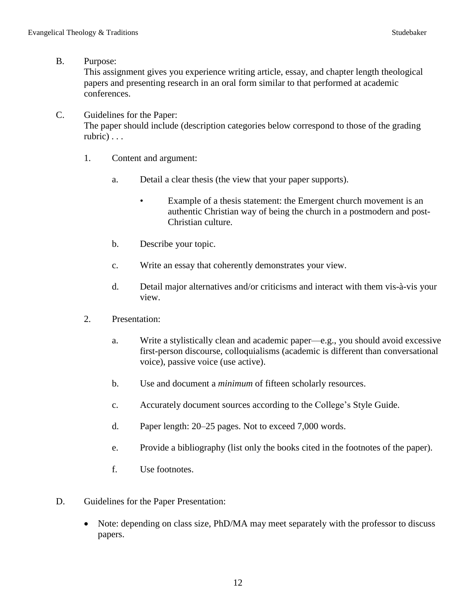B. Purpose:

This assignment gives you experience writing article, essay, and chapter length theological papers and presenting research in an oral form similar to that performed at academic conferences.

C. Guidelines for the Paper:

The paper should include (description categories below correspond to those of the grading rubric) . . .

- 1. Content and argument:
	- a. Detail a clear thesis (the view that your paper supports).
		- Example of a thesis statement: the Emergent church movement is an authentic Christian way of being the church in a postmodern and post-Christian culture.
	- b. Describe your topic.
	- c. Write an essay that coherently demonstrates your view.
	- d. Detail major alternatives and/or criticisms and interact with them vis-à-vis your view.
- 2. Presentation:
	- a. Write a stylistically clean and academic paper—e.g., you should avoid excessive first-person discourse, colloquialisms (academic is different than conversational voice), passive voice (use active).
	- b. Use and document a *minimum* of fifteen scholarly resources.
	- c. Accurately document sources according to the College's Style Guide.
	- d. Paper length: 20–25 pages. Not to exceed 7,000 words.
	- e. Provide a bibliography (list only the books cited in the footnotes of the paper).
	- f. Use footnotes.
- D. Guidelines for the Paper Presentation:
	- Note: depending on class size, PhD/MA may meet separately with the professor to discuss papers.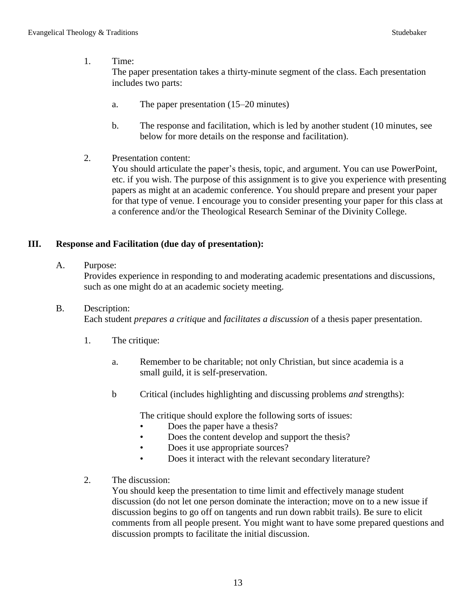## 1. Time:

The paper presentation takes a thirty-minute segment of the class. Each presentation includes two parts:

- a. The paper presentation (15–20 minutes)
- b. The response and facilitation, which is led by another student (10 minutes, see below for more details on the response and facilitation).
- 2. Presentation content:

You should articulate the paper's thesis, topic, and argument. You can use PowerPoint, etc. if you wish. The purpose of this assignment is to give you experience with presenting papers as might at an academic conference. You should prepare and present your paper for that type of venue. I encourage you to consider presenting your paper for this class at a conference and/or the Theological Research Seminar of the Divinity College.

# **III. Response and Facilitation (due day of presentation):**

A. Purpose:

Provides experience in responding to and moderating academic presentations and discussions, such as one might do at an academic society meeting.

# B. Description:

Each student *prepares a critique* and *facilitates a discussion* of a thesis paper presentation.

- 1. The critique:
	- a. Remember to be charitable; not only Christian, but since academia is a small guild, it is self-preservation.
	- b Critical (includes highlighting and discussing problems *and* strengths):

The critique should explore the following sorts of issues:

- Does the paper have a thesis?
- Does the content develop and support the thesis?
- Does it use appropriate sources?
- Does it interact with the relevant secondary literature?
- 2. The discussion:

You should keep the presentation to time limit and effectively manage student discussion (do not let one person dominate the interaction; move on to a new issue if discussion begins to go off on tangents and run down rabbit trails). Be sure to elicit comments from all people present. You might want to have some prepared questions and discussion prompts to facilitate the initial discussion.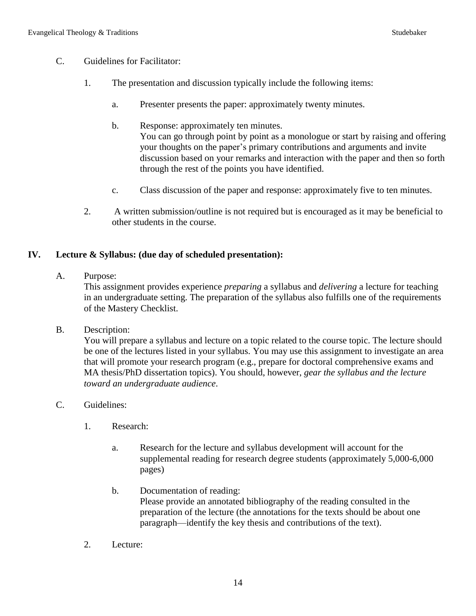- C. Guidelines for Facilitator:
	- 1. The presentation and discussion typically include the following items:
		- a. Presenter presents the paper: approximately twenty minutes.
		- b. Response: approximately ten minutes. You can go through point by point as a monologue or start by raising and offering your thoughts on the paper's primary contributions and arguments and invite discussion based on your remarks and interaction with the paper and then so forth through the rest of the points you have identified.
		- c. Class discussion of the paper and response: approximately five to ten minutes.
	- 2. A written submission/outline is not required but is encouraged as it may be beneficial to other students in the course.

## **IV. Lecture & Syllabus: (due day of scheduled presentation):**

A. Purpose:

This assignment provides experience *preparing* a syllabus and *delivering* a lecture for teaching in an undergraduate setting. The preparation of the syllabus also fulfills one of the requirements of the Mastery Checklist.

B. Description:

You will prepare a syllabus and lecture on a topic related to the course topic. The lecture should be one of the lectures listed in your syllabus. You may use this assignment to investigate an area that will promote your research program (e.g., prepare for doctoral comprehensive exams and MA thesis/PhD dissertation topics). You should, however, *gear the syllabus and the lecture toward an undergraduate audience*.

- C. Guidelines:
	- 1. Research:
		- a. Research for the lecture and syllabus development will account for the supplemental reading for research degree students (approximately 5,000-6,000 pages)
		- b. Documentation of reading: Please provide an annotated bibliography of the reading consulted in the preparation of the lecture (the annotations for the texts should be about one paragraph—identify the key thesis and contributions of the text).
	- 2. Lecture: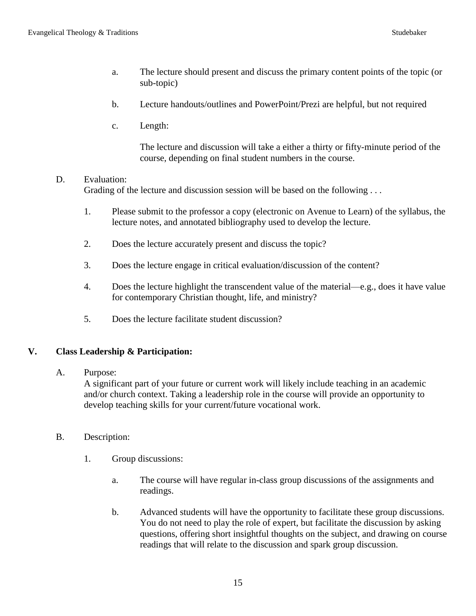- a. The lecture should present and discuss the primary content points of the topic (or sub-topic)
- b. Lecture handouts/outlines and PowerPoint/Prezi are helpful, but not required
- c. Length:

The lecture and discussion will take a either a thirty or fifty-minute period of the course, depending on final student numbers in the course.

## D. Evaluation:

Grading of the lecture and discussion session will be based on the following ...

- 1. Please submit to the professor a copy (electronic on Avenue to Learn) of the syllabus, the lecture notes, and annotated bibliography used to develop the lecture.
- 2. Does the lecture accurately present and discuss the topic?
- 3. Does the lecture engage in critical evaluation/discussion of the content?
- 4. Does the lecture highlight the transcendent value of the material—e.g., does it have value for contemporary Christian thought, life, and ministry?
- 5. Does the lecture facilitate student discussion?

## **V. Class Leadership & Participation:**

#### A. Purpose:

A significant part of your future or current work will likely include teaching in an academic and/or church context. Taking a leadership role in the course will provide an opportunity to develop teaching skills for your current/future vocational work.

- B. Description:
	- 1. Group discussions:
		- a. The course will have regular in-class group discussions of the assignments and readings.
		- b. Advanced students will have the opportunity to facilitate these group discussions. You do not need to play the role of expert, but facilitate the discussion by asking questions, offering short insightful thoughts on the subject, and drawing on course readings that will relate to the discussion and spark group discussion.